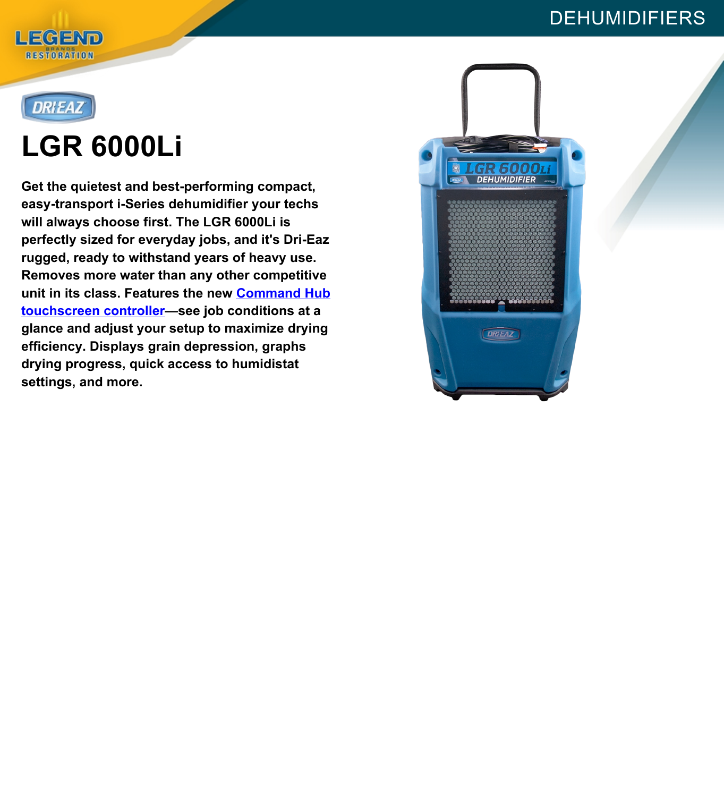#### DEHUMIDIFIERS





# **LGR 6000Li**

**Get the quietest and best-performing compact, easy-transport i-Series dehumidifier your techs will always choose first. The LGR 6000Li is perfectly sized for everyday jobs, and it's Dri-Eaz rugged, ready to withstand years of heavy use. Removes more water than any other competitive unit in its class. Features the new [Command](https://www.legendbrandsrestoration.com/Dehu-Command-Hub) Hub [touchscreen](https://www.legendbrandsrestoration.com/Dehu-Command-Hub) controller—see job conditions at a glance and adjust your setup to maximize drying efficiency. Displays grain depression, graphs drying progress, quick access to humidistat settings, and more.**